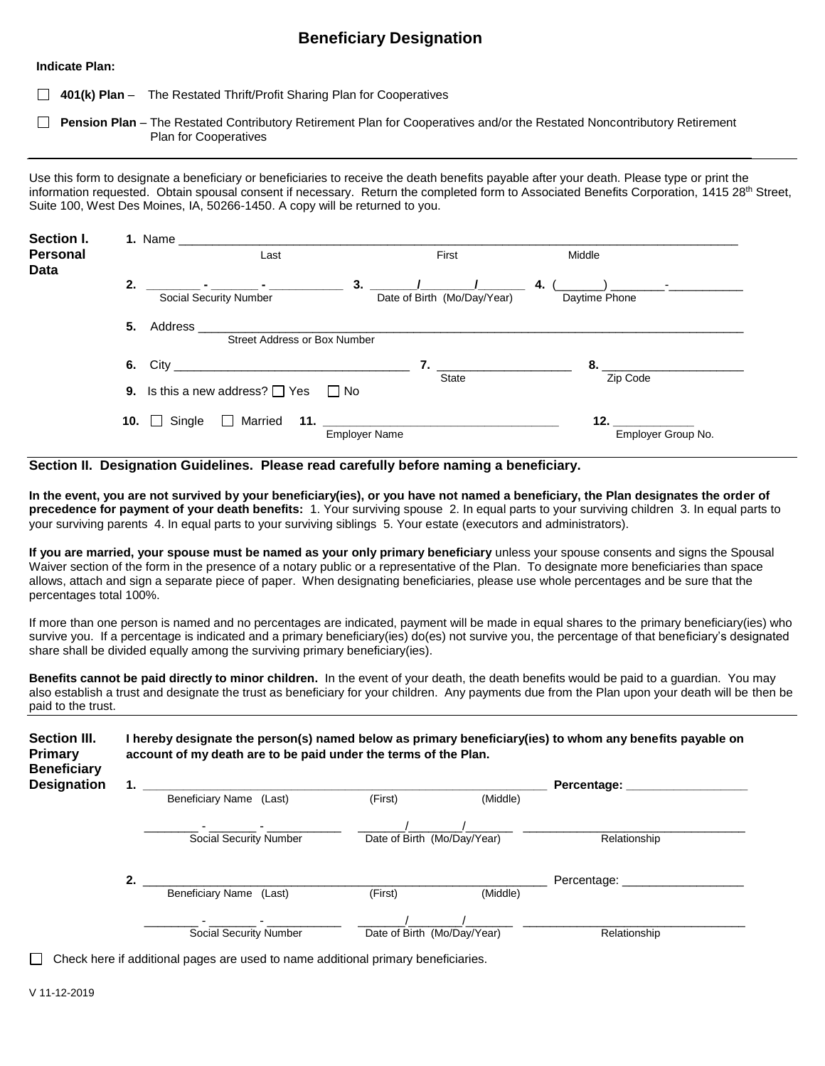## **Beneficiary Designation**

**Indicate Plan:**

**401(k) Plan** – The Restated Thrift/Profit Sharing Plan for Cooperatives

**Pension Plan** – The Restated Contributory Retirement Plan for Cooperatives and/or the Restated Noncontributory Retirement Plan for Cooperatives

Use this form to designate a beneficiary or beneficiaries to receive the death benefits payable after your death. Please type or print the information requested. Obtain spousal consent if necessary. Return the completed form to Associated Benefits Corporation, 1415 28<sup>th</sup> Street, Suite 100, West Des Moines, IA, 50266-1450. A copy will be returned to you.

| Section I.<br><b>Personal</b><br><b>Data</b> | 1. Name<br>Last                                      |                                                  | First                                        | Middle                    |  |  |
|----------------------------------------------|------------------------------------------------------|--------------------------------------------------|----------------------------------------------|---------------------------|--|--|
|                                              | 2.<br>Social Security Number                         | the company of the company of the company of the | $3.$ $/$<br>Date of Birth (Mo/Day/Year)      | 4.<br>Daytime Phone       |  |  |
|                                              | Address<br>5.<br><b>Street Address or Box Number</b> |                                                  |                                              |                           |  |  |
|                                              | 6.                                                   |                                                  | $\overline{7}$ .<br><b>State</b>             | Zip Code                  |  |  |
|                                              | 9. Is this a new address? $\Box$ Yes                 | $\Box$ No                                        |                                              |                           |  |  |
|                                              | Single<br>10. $\Box$<br>$\perp$                      | Married<br><b>Employer Name</b>                  | <u>11. _________________________________</u> | 12.<br>Employer Group No. |  |  |

**Section II. Designation Guidelines. Please read carefully before naming a beneficiary.** 

**In the event, you are not survived by your beneficiary(ies), or you have not named a beneficiary, the Plan designates the order of precedence for payment of your death benefits:** 1. Your surviving spouse 2. In equal parts to your surviving children 3. In equal parts to your surviving parents 4. In equal parts to your surviving siblings 5. Your estate (executors and administrators).

**If you are married, your spouse must be named as your only primary beneficiary** unless your spouse consents and signs the Spousal Waiver section of the form in the presence of a notary public or a representative of the Plan. To designate more beneficiaries than space allows, attach and sign a separate piece of paper. When designating beneficiaries, please use whole percentages and be sure that the percentages total 100%.

If more than one person is named and no percentages are indicated, payment will be made in equal shares to the primary beneficiary(ies) who survive you. If a percentage is indicated and a primary beneficiary(ies) do(es) not survive you, the percentage of that beneficiary's designated share shall be divided equally among the surviving primary beneficiary(ies).

**Benefits cannot be paid directly to minor children.** In the event of your death, the death benefits would be paid to a guardian. You may also establish a trust and designate the trust as beneficiary for your children. Any payments due from the Plan upon your death will be then be paid to the trust.

| Section III.<br><b>Primary</b><br><b>Beneficiary</b> | hereby designate the person(s) named below as primary beneficiary(ies) to whom any benefits payable on<br>account of my death are to be paid under the terms of the Plan. |                               |  |         |                             |              |  |  |
|------------------------------------------------------|---------------------------------------------------------------------------------------------------------------------------------------------------------------------------|-------------------------------|--|---------|-----------------------------|--------------|--|--|
| <b>Designation</b>                                   | 1.                                                                                                                                                                        |                               |  |         |                             | Percentage:  |  |  |
|                                                      |                                                                                                                                                                           | Beneficiary Name (Last)       |  | (First) | (Middle)                    |              |  |  |
|                                                      |                                                                                                                                                                           |                               |  |         |                             |              |  |  |
|                                                      |                                                                                                                                                                           | <b>Social Security Number</b> |  |         | Date of Birth (Mo/Day/Year) | Relationship |  |  |
|                                                      | 2.                                                                                                                                                                        |                               |  |         |                             | Percentage:  |  |  |
|                                                      |                                                                                                                                                                           | Beneficiary Name (Last)       |  | (First) | (Middle)                    |              |  |  |
|                                                      |                                                                                                                                                                           |                               |  |         |                             |              |  |  |
|                                                      |                                                                                                                                                                           | <b>Social Security Number</b> |  |         | Date of Birth (Mo/Day/Year) | Relationship |  |  |

 $\Box$  Check here if additional pages are used to name additional primary beneficiaries.